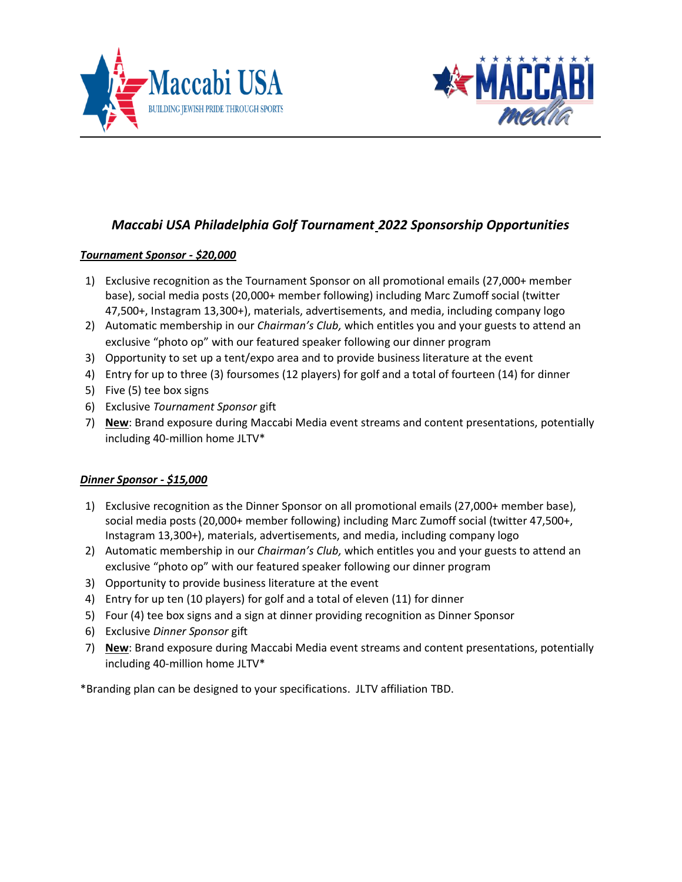



# *Maccabi USA Philadelphia Golf Tournament 2022 Sponsorship Opportunities*

## *Tournament Sponsor - \$20,000*

- 1) Exclusive recognition as the Tournament Sponsor on all promotional emails (27,000+ member base), social media posts (20,000+ member following) including Marc Zumoff social (twitter 47,500+, Instagram 13,300+), materials, advertisements, and media, including company logo
- 2) Automatic membership in our *Chairman's Club,* which entitles you and your guests to attend an exclusive "photo op" with our featured speaker following our dinner program
- 3) Opportunity to set up a tent/expo area and to provide business literature at the event
- 4) Entry for up to three (3) foursomes (12 players) for golf and a total of fourteen (14) for dinner
- 5) Five (5) tee box signs
- 6) Exclusive *Tournament Sponsor* gift
- 7) **New**: Brand exposure during Maccabi Media event streams and content presentations, potentially including 40-million home JLTV\*

## *Dinner Sponsor - \$15,000*

- 1) Exclusive recognition as the Dinner Sponsor on all promotional emails (27,000+ member base), social media posts (20,000+ member following) including Marc Zumoff social (twitter 47,500+, Instagram 13,300+), materials, advertisements, and media, including company logo
- 2) Automatic membership in our *Chairman's Club,* which entitles you and your guests to attend an exclusive "photo op" with our featured speaker following our dinner program
- 3) Opportunity to provide business literature at the event
- 4) Entry for up ten (10 players) for golf and a total of eleven (11) for dinner
- 5) Four (4) tee box signs and a sign at dinner providing recognition as Dinner Sponsor
- 6) Exclusive *Dinner Sponsor* gift
- 7) **New**: Brand exposure during Maccabi Media event streams and content presentations, potentially including 40-million home JLTV\*

\*Branding plan can be designed to your specifications. JLTV affiliation TBD.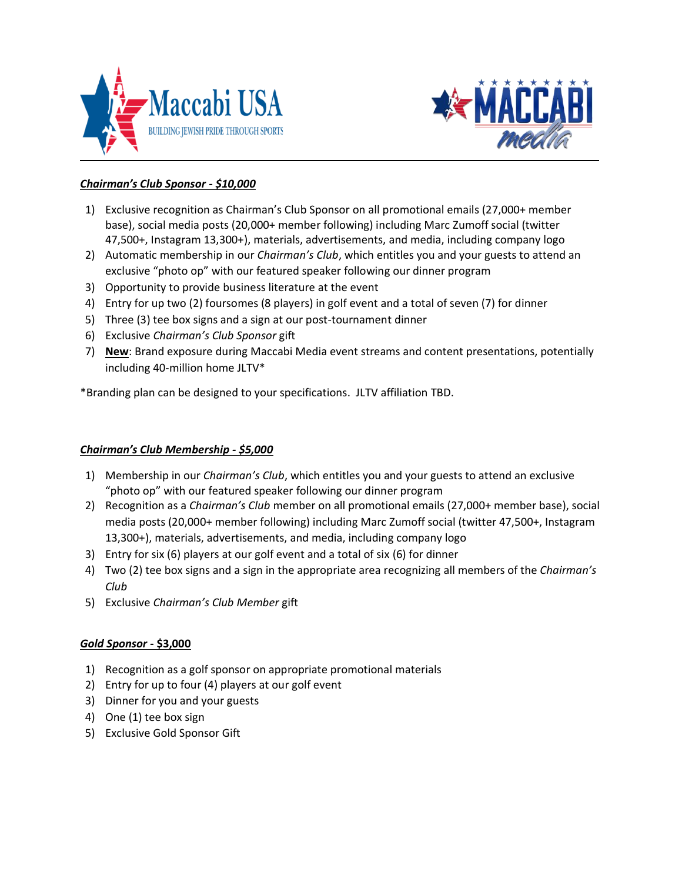



# *Chairman's Club Sponsor - \$10,000*

- 1) Exclusive recognition as Chairman's Club Sponsor on all promotional emails (27,000+ member base), social media posts (20,000+ member following) including Marc Zumoff social (twitter 47,500+, Instagram 13,300+), materials, advertisements, and media, including company logo
- 2) Automatic membership in our *Chairman's Club*, which entitles you and your guests to attend an exclusive "photo op" with our featured speaker following our dinner program
- 3) Opportunity to provide business literature at the event
- 4) Entry for up two (2) foursomes (8 players) in golf event and a total of seven (7) for dinner
- 5) Three (3) tee box signs and a sign at our post-tournament dinner
- 6) Exclusive *Chairman's Club Sponsor* gift
- 7) **New**: Brand exposure during Maccabi Media event streams and content presentations, potentially including 40-million home JLTV\*

\*Branding plan can be designed to your specifications. JLTV affiliation TBD.

## *Chairman's Club Membership - \$5,000*

- 1) Membership in our *Chairman's Club*, which entitles you and your guests to attend an exclusive "photo op" with our featured speaker following our dinner program
- 2) Recognition as a *Chairman's Club* member on all promotional emails (27,000+ member base), social media posts (20,000+ member following) including Marc Zumoff social (twitter 47,500+, Instagram 13,300+), materials, advertisements, and media, including company logo
- 3) Entry for six (6) players at our golf event and a total of six (6) for dinner
- 4) Two (2) tee box signs and a sign in the appropriate area recognizing all members of the *Chairman's Club*
- 5) Exclusive *Chairman's Club Member* gift

## *Gold Sponsor* **- \$3,000**

- 1) Recognition as a golf sponsor on appropriate promotional materials
- 2) Entry for up to four (4) players at our golf event
- 3) Dinner for you and your guests
- 4) One (1) tee box sign
- 5) Exclusive Gold Sponsor Gift